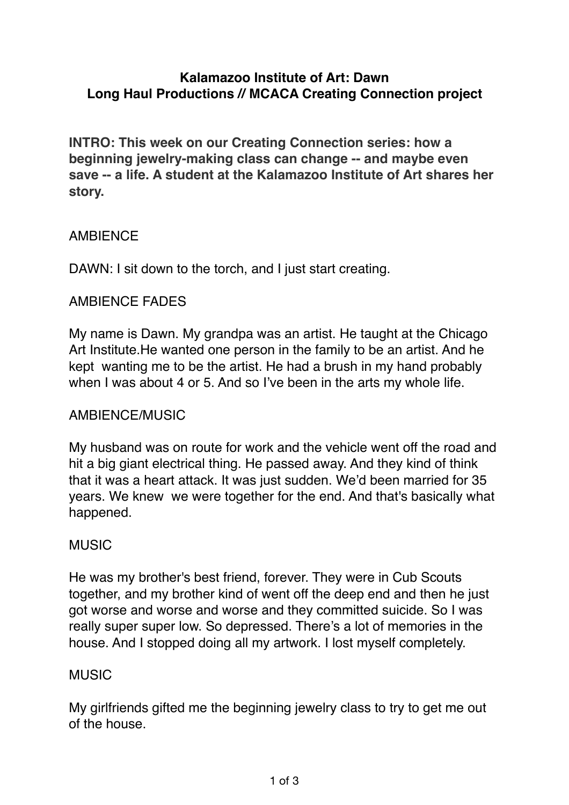# **Kalamazoo Institute of Art: Dawn Long Haul Productions // MCACA Creating Connection project**

**INTRO: This week on our Creating Connection series: how a beginning jewelry-making class can change -- and maybe even save -- a life. A student at the Kalamazoo Institute of Art shares her story.**

# AMBIENCE

DAWN: I sit down to the torch, and I just start creating.

## AMBIENCE FADES

My name is Dawn. My grandpa was an artist. He taught at the Chicago Art Institute.He wanted one person in the family to be an artist. And he kept wanting me to be the artist. He had a brush in my hand probably when I was about 4 or 5. And so I've been in the arts my whole life.

# AMBIENCE/MUSIC

My husband was on route for work and the vehicle went off the road and hit a big giant electrical thing. He passed away. And they kind of think that it was a heart attack. It was just sudden. We'd been married for 35 years. We knew we were together for the end. And that's basically what happened.

### MUSIC

He was my brother's best friend, forever. They were in Cub Scouts together, and my brother kind of went off the deep end and then he just got worse and worse and worse and they committed suicide. So I was really super super low. So depressed. There's a lot of memories in the house. And I stopped doing all my artwork. I lost myself completely.

### MUSIC

My girlfriends gifted me the beginning jewelry class to try to get me out of the house.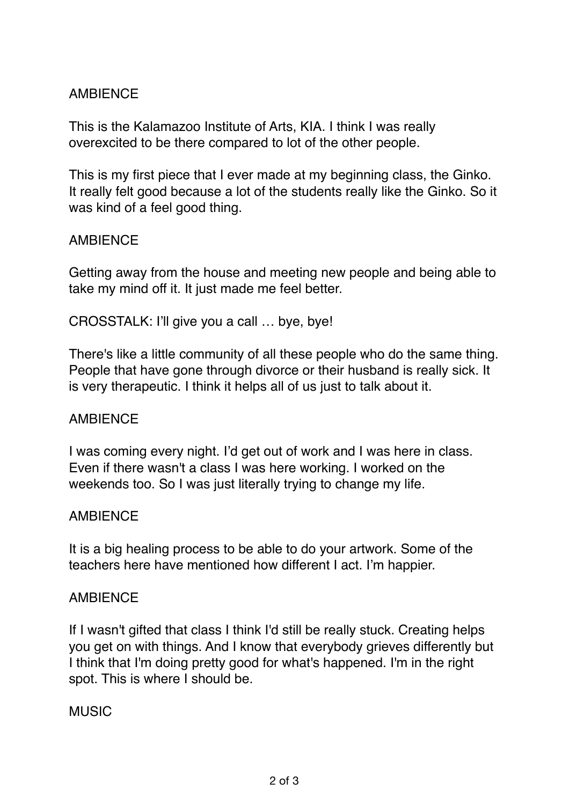# **AMBIFNCF**

This is the Kalamazoo Institute of Arts, KIA. I think I was really overexcited to be there compared to lot of the other people.

This is my first piece that I ever made at my beginning class, the Ginko. It really felt good because a lot of the students really like the Ginko. So it was kind of a feel good thing.

## **AMBIFNCF**

Getting away from the house and meeting new people and being able to take my mind off it. It just made me feel better.

CROSSTALK: I'll give you a call … bye, bye!

There's like a little community of all these people who do the same thing. People that have gone through divorce or their husband is really sick. It is very therapeutic. I think it helps all of us just to talk about it.

### **AMBIFNCF**

I was coming every night. I'd get out of work and I was here in class. Even if there wasn't a class I was here working. I worked on the weekends too. So I was just literally trying to change my life.

### AMBIENCE

It is a big healing process to be able to do your artwork. Some of the teachers here have mentioned how different I act. I'm happier.

### **AMBIFNCF**

If I wasn't gifted that class I think I'd still be really stuck. Creating helps you get on with things. And I know that everybody grieves differently but I think that I'm doing pretty good for what's happened. I'm in the right spot. This is where I should be.

### MUSIC